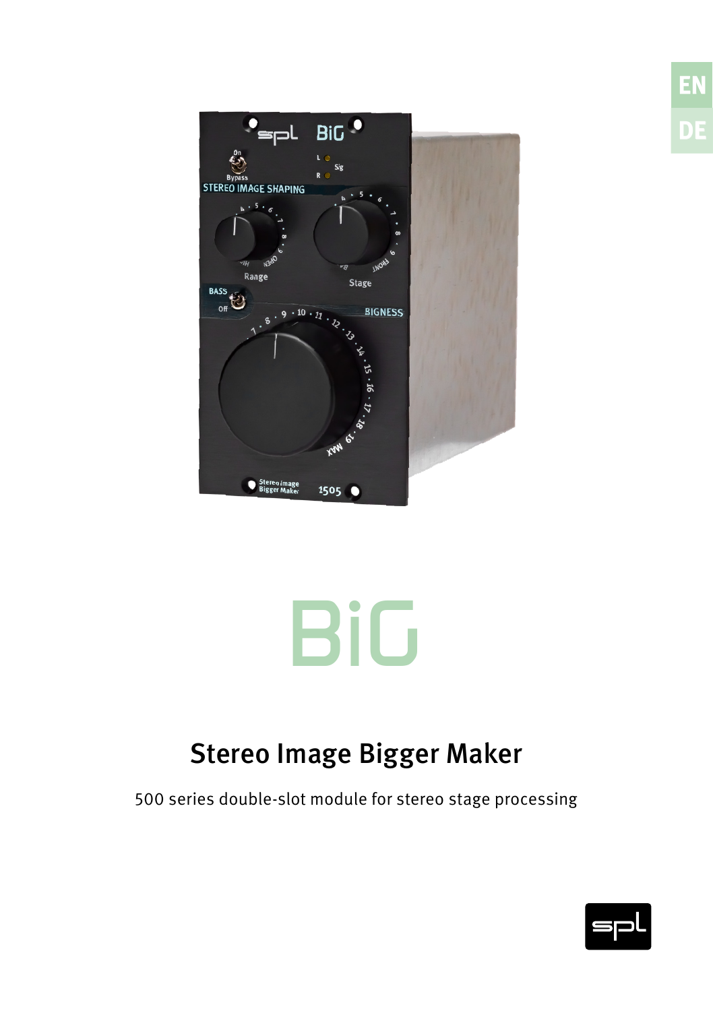



## Stereo Image Bigger Maker

500 series double-slot module for stereo stage processing



**EN DE**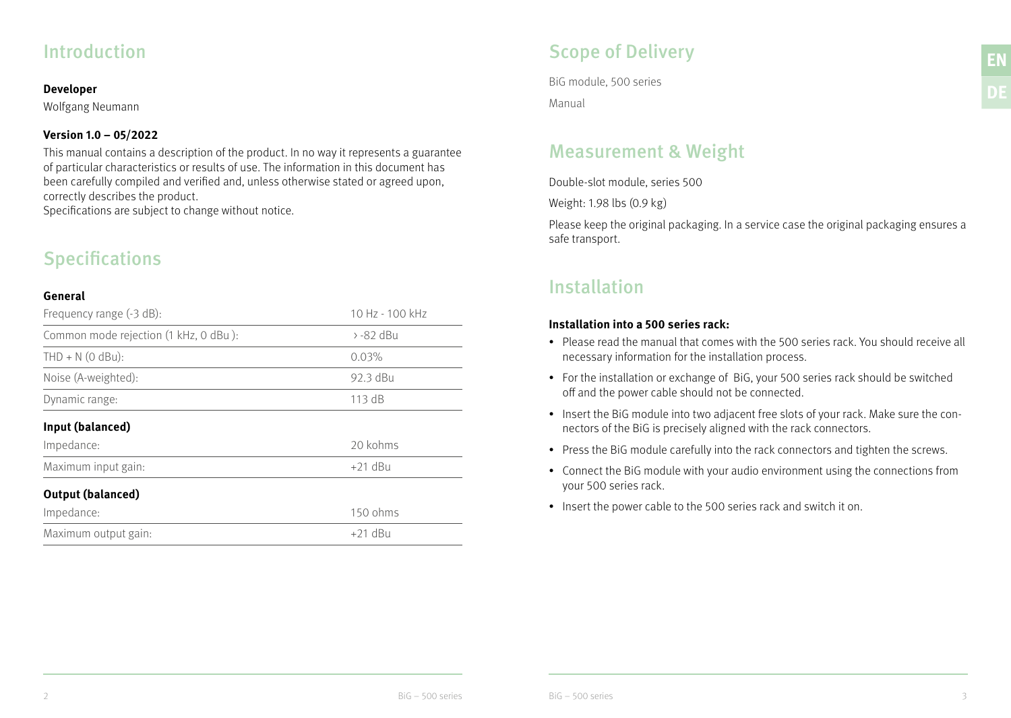## Introduction

#### **Developer**

Wolfgang Neumann

## **Version 1.0 – 05/2022**

This manual contains a description of the product. In no way it represents a guarantee of particular characteristics or results of use. The information in this document has been carefully compiled and verified and, unless otherwise stated or agreed upon, correctly describes the product.

Specifications are subject to change without notice.

## **Specifications**

### **General**

| Frequency range (-3 dB):              | 10 Hz - 100 kHz |
|---------------------------------------|-----------------|
| Common mode rejection (1 kHz, 0 dBu): | $> -82$ dBu     |
| $THD + N$ (0 dBu):                    | 0.03%           |
| Noise (A-weighted):                   | 92.3 dBu        |
| Dynamic range:                        | 113 dB          |
| Input (balanced)                      |                 |
| Impedance:                            | 20 kohms        |
| Maximum input gain:                   | $+21$ dBu       |
| <b>Output (balanced)</b>              |                 |
| Impedance:                            | 150 ohms        |
| Maximum output gain:                  | $+21$ dBu       |

## Scope of Delivery

BiG module, 500 series Manual

## Measurement & Weight

Double-slot module, series 500

Weight: 1.98 lbs (0.9 kg)

Please keep the original packaging. In a service case the original packaging ensures a safe transport.

## Installation

### **Installation into a 500 series rack:**

- Please read the manual that comes with the 500 series rack. You should receive all necessary information for the installation process.
- For the installation or exchange of BiG, your 500 series rack should be switched off and the power cable should not be connected.
- Insert the BiG module into two adjacent free slots of your rack. Make sure the connectors of the BiG is precisely aligned with the rack connectors.
- Press the BiG module carefully into the rack connectors and tighten the screws.
- Connect the BiG module with your audio environment using the connections from your 500 series rack.
- Insert the power cable to the 500 series rack and switch it on.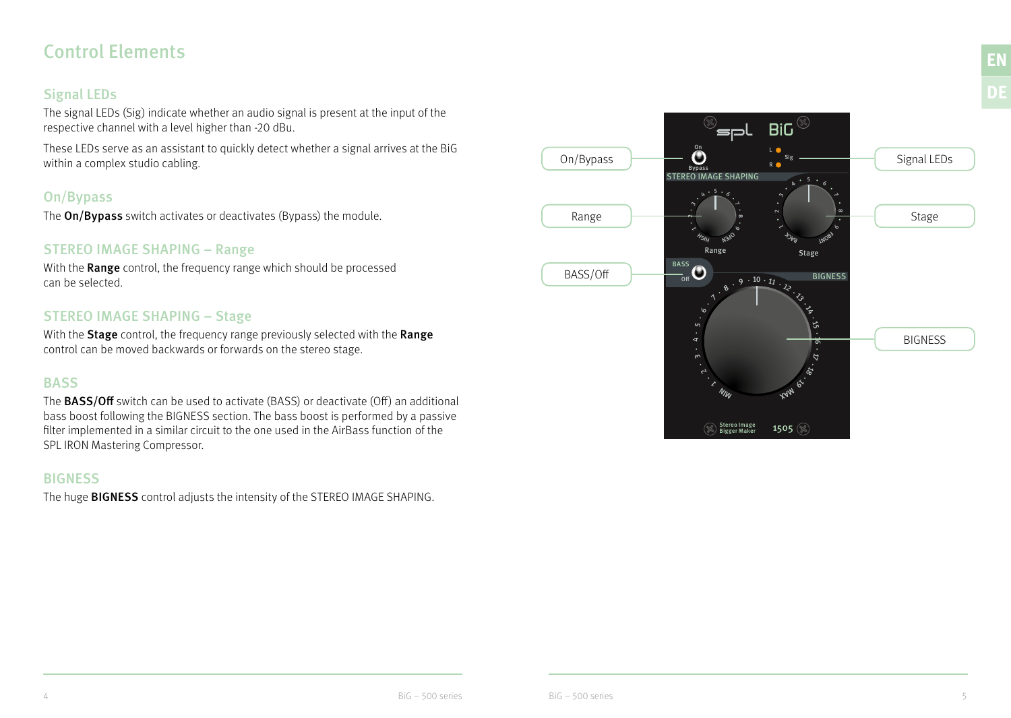## Control Elements

## Signal LEDs

The signal LEDs (Sig) indicate whether an audio signal is present at the input of the respective channel with a level higher than -20 dBu.

These LEDs serve as an assistant to quickly detect whether a signal arrives at the BiG within a complex studio cabling.

## On/Bypass

The **On/Bypass** switch activates or deactivates (Bypass) the module.

## STEREO IMAGE SHAPING – Range

With the Range control, the frequency range which should be processed can be selected.

## STEREO IMAGE SHAPING – Stage

With the **Stage** control, the frequency range previously selected with the Range control can be moved backwards or forwards on the stereo stage.

## **BASS**

The BASS/Off switch can be used to activate (BASS) or deactivate (Off) an additional bass boost following the BIGNESS section. The bass boost is performed by a passive filter implemented in a similar circuit to the one used in the AirBass function of the SPL IRON Mastering Compressor.

## **BIGNESS**

The huge **BIGNESS** control adjusts the intensity of the STEREO IMAGE SHAPING.



**EN**

**DE**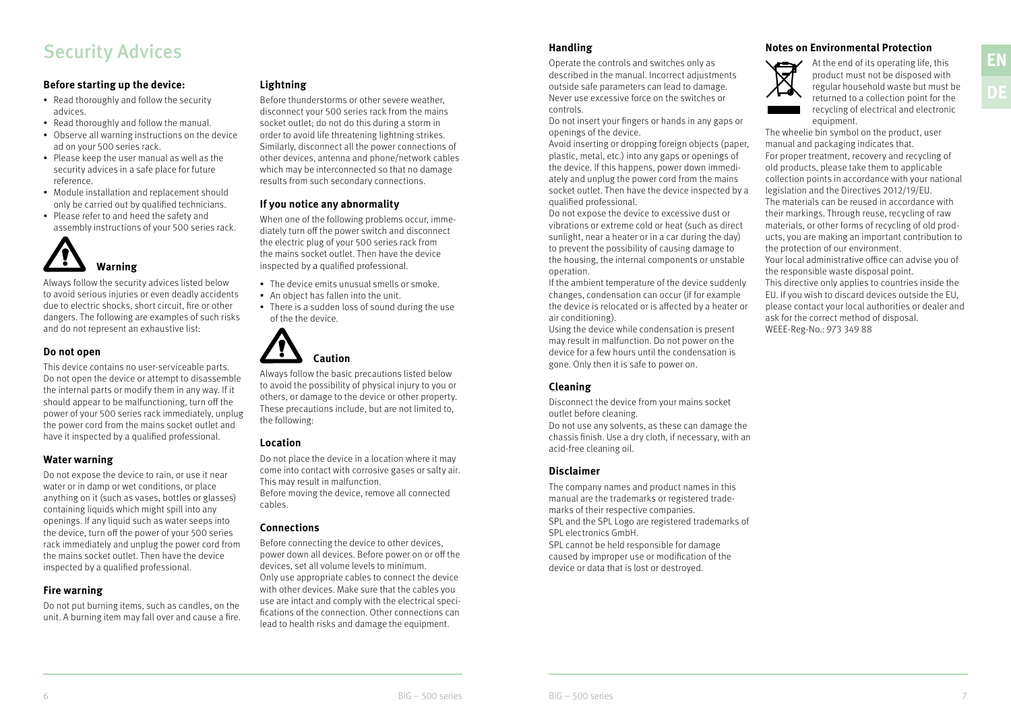# Security Advices<br> **Security Advices** entrols and switches only as **EN**<br>
Operate the controls and switches only as **EN**<br>
Operate the controls and switches only as **EN**

#### **Before starting up the device:**

- Read thoroughly and follow the security advices.
- Read thoroughly and follow the manual.
- Observe all warning instructions on the device ad on your 500 series rack.
- Please keep the user manual as well as the security advices in a safe place for future reference.
- Module installation and replacement should only be carried out by qualified technicians.
- Please refer to and heed the safety and assembly instructions of your 500 series rack.



Always follow the security advices listed below to avoid serious injuries or even deadly accidents due to electric shocks, short circuit, fire or other dangers. The following are examples of such risks and do not represent an exhaustive list:

#### **Do not open**

This device contains no user-serviceable parts. Do not open the device or attempt to disassemble the internal parts or modify them in any way. If it should appear to be malfunctioning, turn off the power of your 500 series rack immediately, unplug the power cord from the mains socket outlet and have it inspected by a qualified professional.

### **Water warning**

Do not expose the device to rain, or use it near water or in damp or wet conditions, or place anything on it (such as vases, bottles or glasses) containing liquids which might spill into any openings. If any liquid such as water seeps into the device, turn off the power of your 500 series rack immediately and unplug the power cord from the mains socket outlet. Then have the device inspected by a qualified professional.

#### **Fire warning**

Do not put burning items, such as candles, on the unit. A burning item may fall over and cause a fire.

#### **Lightning**

Before thunderstorms or other severe weather, disconnect your 500 series rack from the mains socket outlet; do not do this during a storm in order to avoid life threatening lightning strikes. Similarly, disconnect all the power connections of other devices, antenna and phone/network cables which may be interconnected so that no damage results from such secondary connections.

#### **If you notice any abnormality**

When one of the following problems occur, immediately turn off the power switch and disconnect the electric plug of your 500 series rack from the mains socket outlet. Then have the device inspected by a qualified professional.

- The device emits unusual smells or smoke.
- An object has fallen into the unit.
- There is a sudden loss of sound during the use of the the device.



Always follow the basic precautions listed below to avoid the possibility of physical injury to you or others, or damage to the device or other property. These precautions include, but are not limited to, the following:

#### **Location**

Do not place the device in a location where it may come into contact with corrosive gases or salty air. This may result in malfunction. Before moving the device, remove all connected cables.

#### **Connections**

Before connecting the device to other devices, power down all devices. Before power on or off the devices, set all volume levels to minimum. Only use appropriate cables to connect the device with other devices. Make sure that the cables you use are intact and comply with the electrical specifications of the connection. Other connections can lead to health risks and damage the equipment.

#### **Handling**

Operate the controls and switches only as described in the manual. Incorrect adjustments outside safe parameters can lead to damage. Never use excessive force on the switches or controls.

Do not insert your fingers or hands in any gaps or openings of the device.

Avoid inserting or dropping foreign objects (paper, plastic, metal, etc.) into any gaps or openings of the device. If this happens, power down immediately and unplug the power cord from the mains socket outlet. Then have the device inspected by a qualified professional.

Do not expose the device to excessive dust or vibrations or extreme cold or heat (such as direct sunlight, near a heater or in a car during the day) to prevent the possibility of causing damage to the housing, the internal components or unstable operation.

If the ambient temperature of the device suddenly changes, condensation can occur (if for example the device is relocated or is affected by a heater or air conditioning).

Using the device while condensation is present may result in malfunction. Do not power on the device for a few hours until the condensation is gone. Only then it is safe to power on.

### **Cleaning**

Disconnect the device from your mains socket outlet before cleaning. Do not use any solvents, as these can damage the chassis finish. Use a dry cloth, if necessary, with an acid-free cleaning oil.

#### **Disclaimer**

The company names and product names in this manual are the trademarks or registered trademarks of their respective companies. SPL and the SPL Logo are registered trademarks of SPL electronics GmbH. SPL cannot be held responsible for damage caused by improper use or modification of the device or data that is lost or destroyed.





At the end of its operating life, this product must not be disposed with regular household waste but must be returned to a collection point for the recycling of electrical and electronic equipment.

The wheelie bin symbol on the product, user manual and packaging indicates that. For proper treatment, recovery and recycling of old products, please take them to applicable collection points in accordance with your national legislation and the Directives 2012/19/EU. The materials can be reused in accordance with their markings. Through reuse, recycling of raw materials, or other forms of recycling of old products, you are making an important contribution to the protection of our environment.

Your local administrative office can advise you of the responsible waste disposal point.

This directive only applies to countries inside the EU. If you wish to discard devices outside the EU, please contact your local authorities or dealer and ask for the correct method of disposal. WEEE-Reg-No.: 973 349 88

**DE**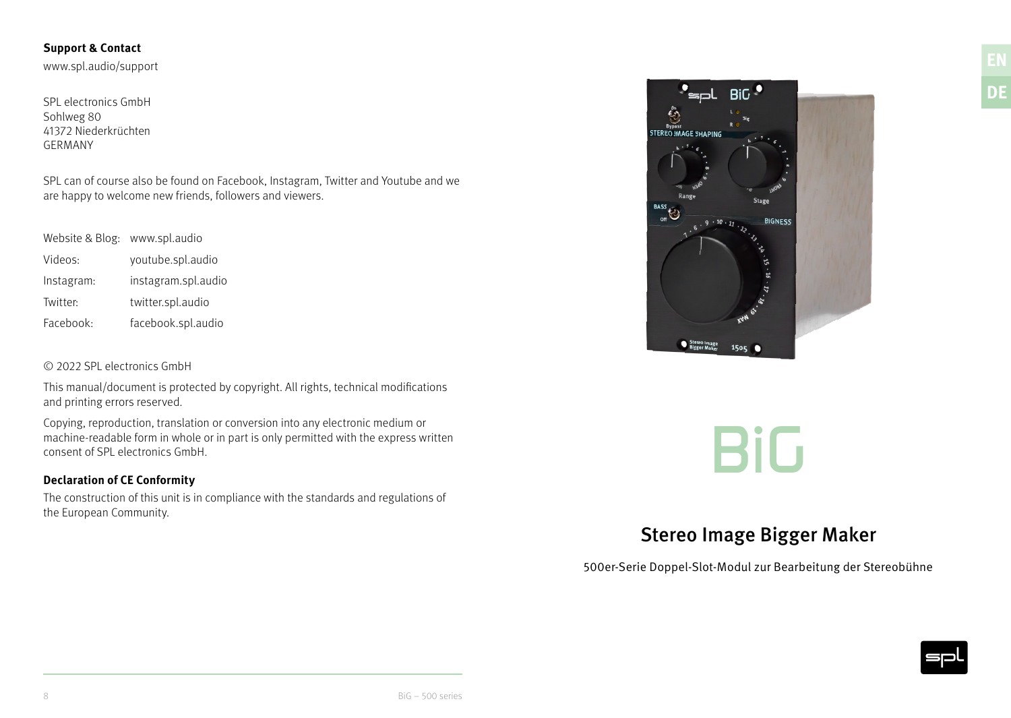### **Support & Contact**

www.spl.audio/support

SPL electronics GmbH Sohlweg 80 41372 Niederkrüchten GERMANY

SPL can of course also be found on Facebook, Instagram, Twitter and Youtube and we are happy to welcome new friends, followers and viewers.

Website & Blog: www.spl.audio

| Videos:    | youtube.spl.audio   |
|------------|---------------------|
| Instagram: | instagram.spl.audio |
| Twitter:   | twitter.spl.audio   |
| Facebook:  | facebook.spl.audio  |

### © 2022 SPL electronics GmbH

This manual/document is protected by copyright. All rights, technical modifications and printing errors reserved.

Copying, reproduction, translation or conversion into any electronic medium or machine-readable form in whole or in part is only permitted with the express written consent of SPL electronics GmbH.

### **Declaration of CE Conformity**

The construction of this unit is in compliance with the standards and regulations of the European Community.



*BiG*

## Stereo Image Bigger Maker

500er-Serie Doppel-Slot-Modul zur Bearbeitung der Stereobühne

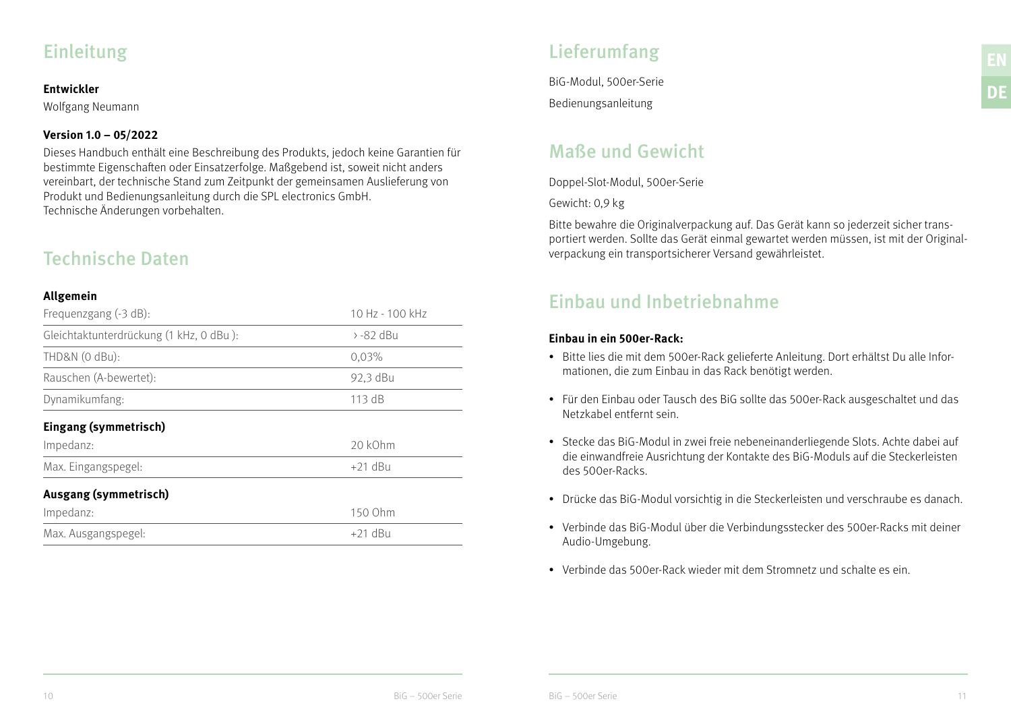## Einleitung

### **Entwickler**

Wolfgang Neumann

## **Version 1.0 – 05/2022**

Dieses Handbuch enthält eine Beschreibung des Produkts, jedoch keine Garantien für bestimmte Eigenschaften oder Einsatzerfolge. Maßgebend ist, soweit nicht anders vereinbart, der technische Stand zum Zeitpunkt der gemeinsamen Auslieferung von Produkt und Bedienungsanleitung durch die SPL electronics GmbH. Technische Änderungen vorbehalten.

## Technische Daten

### **Allgemein**

| Frequenzgang (-3 dB):                   | 10 Hz - 100 kHz |
|-----------------------------------------|-----------------|
| Gleichtaktunterdrückung (1 kHz, 0 dBu): | > -82 dBu       |
| THD&N (0 dBu):                          | 0.03%           |
| Rauschen (A-bewertet):                  | 92,3 dBu        |
| Dynamikumfang:                          | 113 dB          |
| Eingang (symmetrisch)                   |                 |
| Impedanz:                               | 20 kOhm         |
| Max. Eingangspegel:                     | $+21$ dBu       |
| Ausgang (symmetrisch)                   |                 |
| Impedanz:                               | 150 Ohm         |
| Max. Ausgangspegel:                     | $+21$ dBu       |

## Lieferumfang

BiG-Modul, 500er-Serie Bedienungsanleitung

## Maße und Gewicht

Doppel-Slot-Modul, 500er-Serie

Gewicht: 0,9 kg

Bitte bewahre die Originalverpackung auf. Das Gerät kann so jederzeit sicher transportiert werden. Sollte das Gerät einmal gewartet werden müssen, ist mit der Originalverpackung ein transportsicherer Versand gewährleistet.

## Einbau und Inbetriebnahme

### **Einbau in ein 500er-Rack:**

- Bitte lies die mit dem 500er-Rack gelieferte Anleitung. Dort erhältst Du alle Informationen, die zum Einbau in das Rack benötigt werden.
- Für den Einbau oder Tausch des BiG sollte das 500er-Rack ausgeschaltet und das Netzkabel entfernt sein.
- Stecke das BiG-Modul in zwei freie nebeneinanderliegende Slots. Achte dabei auf die einwandfreie Ausrichtung der Kontakte des BiG-Moduls auf die Steckerleisten des 500er-Racks.
- Drücke das BiG-Modul vorsichtig in die Steckerleisten und verschraube es danach.
- Verbinde das BiG-Modul über die Verbindungsstecker des 500er-Racks mit deiner Audio-Umgebung.
- Verbinde das 500er-Rack wieder mit dem Stromnetz und schalte es ein.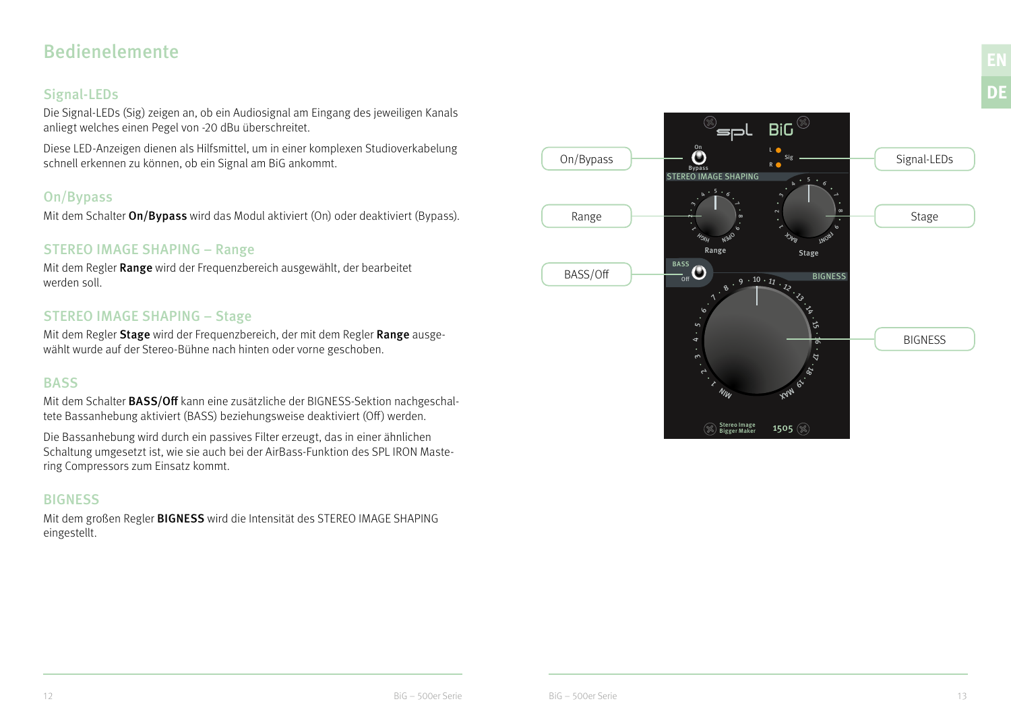## Bedienelemente

## Signal-LEDs

Die Signal-LEDs (Sig) zeigen an, ob ein Audiosignal am Eingang des jeweiligen Kanals anliegt welches einen Pegel von -20 dBu überschreitet.

Diese LED-Anzeigen dienen als Hilfsmittel, um in einer komplexen Studioverkabelung schnell erkennen zu können, ob ein Signal am BiG ankommt.

## On/Bypass

Mit dem Schalter **On/Bypass** wird das Modul aktiviert (On) oder deaktiviert (Bypass).

## STEREO IMAGE SHAPING – Range

Mit dem Regler Range wird der Frequenzbereich ausgewählt, der bearbeitet werden soll.

## STEREO IMAGE SHAPING – Stage

Mit dem Regler Stage wird der Frequenzbereich, der mit dem Regler Range ausgewählt wurde auf der Stereo-Bühne nach hinten oder vorne geschoben.

## **BASS**

Mit dem Schalter **BASS/Off** kann eine zusätzliche der BIGNESS-Sektion nachgeschaltete Bassanhebung aktiviert (BASS) beziehungsweise deaktiviert (Off) werden.

Die Bassanhebung wird durch ein passives Filter erzeugt, das in einer ähnlichen Schaltung umgesetzt ist, wie sie auch bei der AirBass-Funktion des SPL IRON Mastering Compressors zum Einsatz kommt.

## **BIGNESS**

Mit dem großen Regler BIGNESS wird die Intensität des STEREO IMAGE SHAPING eingestellt.



**DE**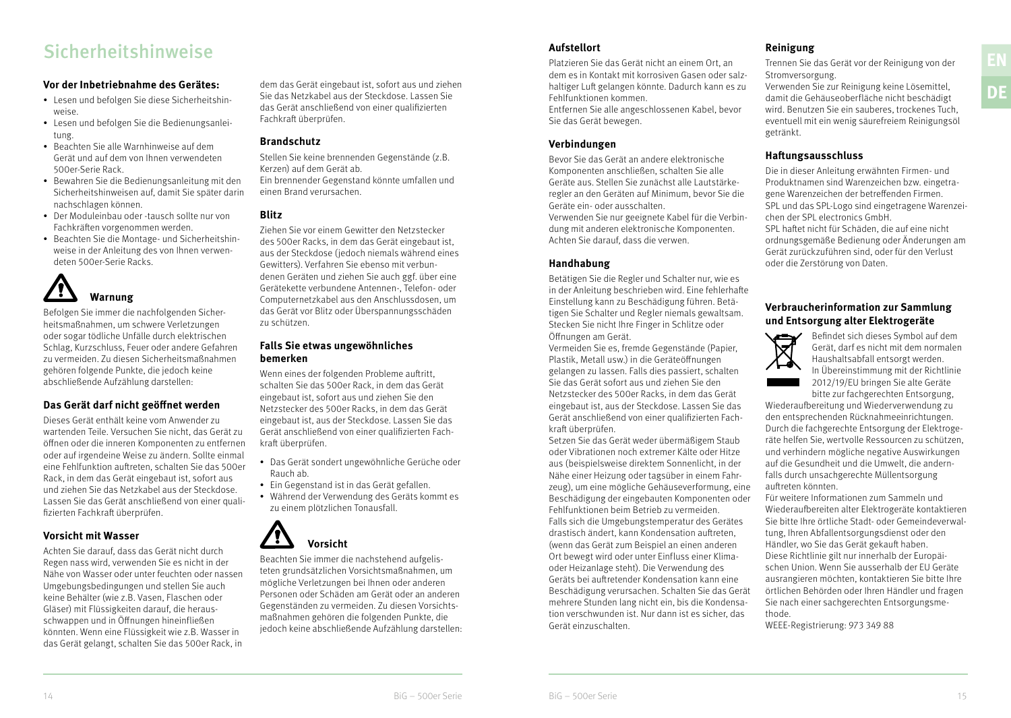# **Sicherheitshinweise** EN and the Platzieren Sie das Gerät nicht an einem Ort, an annexe Tennen Sie das Gerät vor der Reinigung von der **EN**<br>Platzieren Sie das Gerät nicht an einem Ort, an Trennen Sie das Gerät vor der Rein

#### **Vor der Inbetriebnahme des Gerätes:**

- Lesen und befolgen Sie diese Sicherheitshinweise.
- Lesen und befolgen Sie die Bedienungsanleitung.
- Beachten Sie alle Warnhinweise auf dem Gerät und auf dem von Ihnen verwendeten 500er-Serie Rack.
- Bewahren Sie die Bedienungsanleitung mit den Sicherheitshinweisen auf, damit Sie später darin nachschlagen können.
- Der Moduleinbau oder -tausch sollte nur von Fachkräften vorgenommen werden.
- Beachten Sie die Montage- und Sicherheitshinweise in der Anleitung des von Ihnen verwendeten 500er-Serie Racks.



Befolgen Sie immer die nachfolgenden Sicherheitsmaßnahmen, um schwere Verletzungen oder sogar tödliche Unfälle durch elektrischen Schlag, Kurzschluss, Feuer oder andere Gefahren zu vermeiden. Zu diesen Sicherheitsmaßnahmen gehören folgende Punkte, die jedoch keine abschließende Aufzählung darstellen:

#### **Das Gerät darf nicht geöffnet werden**

Dieses Gerät enthält keine vom Anwender zu wartenden Teile. Versuchen Sie nicht, das Gerät zu öffnen oder die inneren Komponenten zu entfernen oder auf irgendeine Weise zu ändern. Sollte einmal eine Fehlfunktion auftreten, schalten Sie das 500er Rack, in dem das Gerät eingebaut ist, sofort aus und ziehen Sie das Netzkabel aus der Steckdose. Lassen Sie das Gerät anschließend von einer qualifizierten Fachkraft überprüfen.

#### **Vorsicht mit Wasser**

Achten Sie darauf, dass das Gerät nicht durch Regen nass wird, verwenden Sie es nicht in der Nähe von Wasser oder unter feuchten oder nassen Umgebungsbedingungen und stellen Sie auch keine Behälter (wie z.B. Vasen, Flaschen oder Gläser) mit Flüssigkeiten darauf, die herausschwappen und in Öffnungen hineinfließen könnten. Wenn eine Flüssigkeit wie z.B. Wasser in das Gerät gelangt, schalten Sie das 500er Rack, in dem das Gerät eingebaut ist, sofort aus und ziehen Sie das Netzkabel aus der Steckdose. Lassen Sie das Gerät anschließend von einer qualifizierten Fachkraft überprüfen.

#### **Brandschutz**

Stellen Sie keine brennenden Gegenstände (z.B. Kerzen) auf dem Gerät ab. Ein brennender Gegenstand könnte umfallen und einen Brand verursachen.

### **Blitz**

Ziehen Sie vor einem Gewitter den Netzstecker des 500er Racks, in dem das Gerät eingebaut ist, aus der Steckdose (jedoch niemals während eines Gewitters). Verfahren Sie ebenso mit verbundenen Geräten und ziehen Sie auch ggf. über eine Gerätekette verbundene Antennen-, Telefon- oder Computernetzkabel aus den Anschlussdosen, um das Gerät vor Blitz oder Überspannungsschäden zu schützen.

#### **Falls Sie etwas ungewöhnliches bemerken**

Wenn eines der folgenden Probleme auftritt, schalten Sie das 500er Rack, in dem das Gerät eingebaut ist, sofort aus und ziehen Sie den Netzstecker des 500er Racks, in dem das Gerät eingebaut ist, aus der Steckdose. Lassen Sie das Gerät anschließend von einer qualifizierten Fachkraft überprüfen.

- Das Gerät sondert ungewöhnliche Gerüche oder Rauch ab.
- Ein Gegenstand ist in das Gerät gefallen.
- Während der Verwendung des Geräts kommt es zu einem plötzlichen Tonausfall.

# **Vorsicht**

Beachten Sie immer die nachstehend aufgelisteten grundsätzlichen Vorsichtsmaßnahmen, um mögliche Verletzungen bei Ihnen oder anderen Personen oder Schäden am Gerät oder an anderen Gegenständen zu vermeiden. Zu diesen Vorsichtsmaßnahmen gehören die folgenden Punkte, die jedoch keine abschließende Aufzählung darstellen:

#### **Aufstellort**

Platzieren Sie das Gerät nicht an einem Ort, an dem es in Kontakt mit korrosiven Gasen oder salzhaltiger Luft gelangen könnte. Dadurch kann es zu Fehlfunktionen kommen.

Entfernen Sie alle angeschlossenen Kabel, bevor Sie das Gerät bewegen.

#### **Verbindungen**

Bevor Sie das Gerät an andere elektronische Komponenten anschließen, schalten Sie alle Geräte aus. Stellen Sie zunächst alle Lautstärkeregler an den Geräten auf Minimum, bevor Sie die Geräte ein- oder ausschalten.

Verwenden Sie nur geeignete Kabel für die Verbindung mit anderen elektronische Komponenten. Achten Sie darauf, dass die verwen.

#### **Handhabung**

Betätigen Sie die Regler und Schalter nur, wie es in der Anleitung beschrieben wird. Eine fehlerhafte Einstellung kann zu Beschädigung führen. Betätigen Sie Schalter und Regler niemals gewaltsam. Stecken Sie nicht Ihre Finger in Schlitze oder Öffnungen am Gerät.

Vermeiden Sie es, fremde Gegenstände (Papier, Plastik, Metall usw.) in die Geräteöffnungen gelangen zu lassen. Falls dies passiert, schalten Sie das Gerät sofort aus und ziehen Sie den Netzstecker des 500er Racks, in dem das Gerät eingebaut ist, aus der Steckdose. Lassen Sie das Gerät anschließend von einer qualifizierten Fachkraft überprüfen.

Setzen Sie das Gerät weder übermäßigem Staub oder Vibrationen noch extremer Kälte oder Hitze aus (beispielsweise direktem Sonnenlicht, in der Nähe einer Heizung oder tagsüber in einem Fahrzeug), um eine mögliche Gehäuseverformung, eine Beschädigung der eingebauten Komponenten oder Fehlfunktionen beim Betrieb zu vermeiden.

Falls sich die Umgebungstemperatur des Gerätes drastisch ändert, kann Kondensation auftreten, (wenn das Gerät zum Beispiel an einen anderen Ort bewegt wird oder unter Einfluss einer Klimaoder Heizanlage steht). Die Verwendung des Geräts bei auftretender Kondensation kann eine Beschädigung verursachen. Schalten Sie das Gerät mehrere Stunden lang nicht ein, bis die Kondensation verschwunden ist. Nur dann ist es sicher, das Gerät einzuschalten.

#### **Reinigung**

Trennen Sie das Gerät vor der Reinigung von der Stromversorgung.

Verwenden Sie zur Reinigung keine Lösemittel, damit die Gehäuseoberfläche nicht beschädigt wird. Benutzen Sie ein sauberes, trockenes Tuch, eventuell mit ein wenig säurefreiem Reinigungsöl getränkt.

#### **Haftungsausschluss**

Die in dieser Anleitung erwähnten Firmen- und Produktnamen sind Warenzeichen bzw. eingetragene Warenzeichen der betreffenden Firmen. SPL und das SPL-Logo sind eingetragene Warenzeichen der SPL electronics GmbH. SPL haftet nicht für Schäden, die auf eine nicht

ordnungsgemäße Bedienung oder Änderungen am Gerät zurückzuführen sind, oder für den Verlust oder die Zerstörung von Daten.

#### **Verbraucherinformation zur Sammlung und Entsorgung alter Elektrogeräte**



Befindet sich dieses Symbol auf dem Gerät, darf es nicht mit dem normalen Haushaltsabfall entsorgt werden. In Übereinstimmung mit der Richtlinie 2012/19/EU bringen Sie alte Geräte bitte zur fachgerechten Entsorgung,

Wiederaufbereitung und Wiederverwendung zu den entsprechenden Rücknahmeeinrichtungen. Durch die fachgerechte Entsorgung der Elektrogeräte helfen Sie, wertvolle Ressourcen zu schützen, und verhindern mögliche negative Auswirkungen auf die Gesundheit und die Umwelt, die andernfalls durch unsachgerechte Müllentsorgung auftreten könnten.

Für weitere Informationen zum Sammeln und Wiederaufbereiten alter Elektrogeräte kontaktieren Sie bitte Ihre örtliche Stadt- oder Gemeindeverwaltung, Ihren Abfallentsorgungsdienst oder den Händler, wo Sie das Gerät gekauft haben. Diese Richtlinie gilt nur innerhalb der Europäischen Union. Wenn Sie ausserhalb der EU Geräte ausrangieren möchten, kontaktieren Sie bitte Ihre örtlichen Behörden oder Ihren Händler und fragen Sie nach einer sachgerechten Entsorgungsmethode.

WEEE-Registrierung: 973 349 88